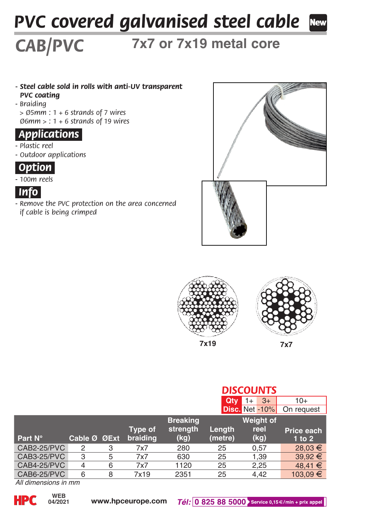# *PVC covered galvanised steel cable*

## **7x7 or 7x19 metal core**

- *Steel cable sold in rolls with anti-UV transparent PVC coating - Braiding*
- *> Ø5mm : 1 + 6 strands of 7 wires Ø6mm > : 1 + 6 strands of 19 wires*

#### *Applications.*

*CAB/PVC*

- *Plastic reel*
- *Outdoor applications*

### *Option.*

*- 100m reels*



*- Remove the PVC protection on the area concerned if cable is being crimped*





|             |                |   |          |                 | <b>DISCOUNTS</b> |                |             |  |
|-------------|----------------|---|----------|-----------------|------------------|----------------|-------------|--|
|             |                |   |          |                 | Qtv              | $3+$<br>$1+$   | $10+$       |  |
|             |                |   |          |                 |                  | Disc. Net -10% | On request  |  |
|             |                |   |          | <b>Breaking</b> | Weight of        |                |             |  |
|             |                |   | Type of  | strength        | Length           | reel           | Price each  |  |
| Part N°     | Cable Ø ØExt   |   | braiding | (kg)            | (metre)          | (kg)           | $1$ to $2$  |  |
| CAB2-25/PVC | $\overline{c}$ | 3 | 7x7      | 280             | 25               | 0.57           | 28,03 €     |  |
|             |                |   |          |                 |                  |                |             |  |
| CAB3-25/PVC | 3              | 5 | 7x7      | 630             | 25               | 1,39           | 39.92 €     |  |
| CAB4-25/PVC | 4              | 6 | 7x7      | 1120            | 25               | 2.25           | $48.41 \in$ |  |

*All dimensions in mm*

**04/2021**